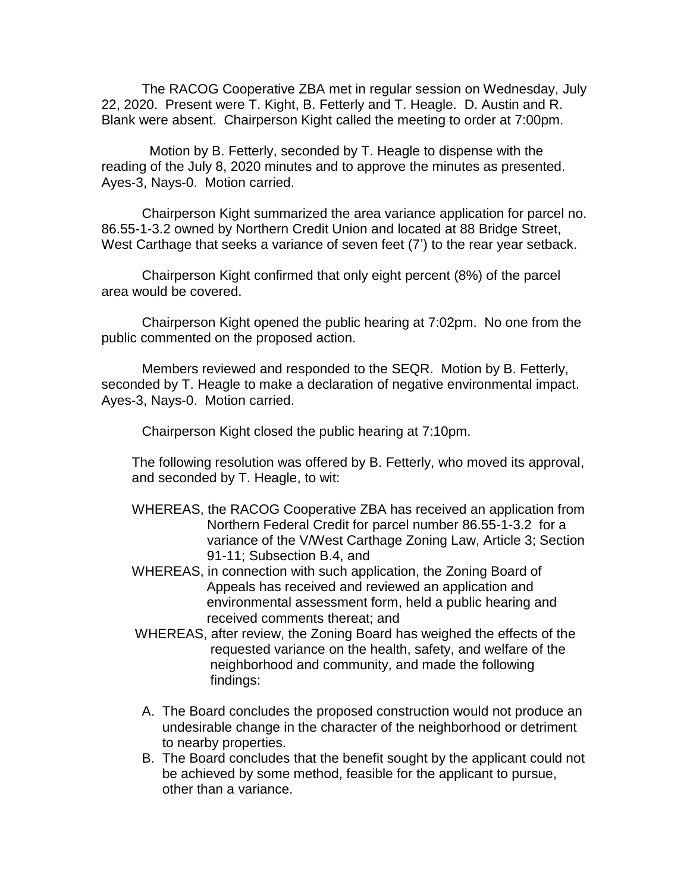The RACOG Cooperative ZBA met in regular session on Wednesday, July 22, 2020. Present were T. Kight, B. Fetterly and T. Heagle. D. Austin and R. Blank were absent. Chairperson Kight called the meeting to order at 7:00pm.

 Motion by B. Fetterly, seconded by T. Heagle to dispense with the reading of the July 8, 2020 minutes and to approve the minutes as presented. Ayes-3, Nays-0. Motion carried.

Chairperson Kight summarized the area variance application for parcel no. 86.55-1-3.2 owned by Northern Credit Union and located at 88 Bridge Street, West Carthage that seeks a variance of seven feet (7') to the rear year setback.

Chairperson Kight confirmed that only eight percent (8%) of the parcel area would be covered.

Chairperson Kight opened the public hearing at 7:02pm. No one from the public commented on the proposed action.

Members reviewed and responded to the SEQR. Motion by B. Fetterly, seconded by T. Heagle to make a declaration of negative environmental impact. Ayes-3, Nays-0. Motion carried.

Chairperson Kight closed the public hearing at 7:10pm.

The following resolution was offered by B. Fetterly, who moved its approval, and seconded by T. Heagle, to wit:

- WHEREAS, the RACOG Cooperative ZBA has received an application from Northern Federal Credit for parcel number 86.55-1-3.2 for a variance of the V/West Carthage Zoning Law, Article 3; Section 91-11; Subsection B.4, and
- WHEREAS, in connection with such application, the Zoning Board of Appeals has received and reviewed an application and environmental assessment form, held a public hearing and received comments thereat; and
- WHEREAS, after review, the Zoning Board has weighed the effects of the requested variance on the health, safety, and welfare of the neighborhood and community, and made the following findings:
- A. The Board concludes the proposed construction would not produce an undesirable change in the character of the neighborhood or detriment to nearby properties.
- B. The Board concludes that the benefit sought by the applicant could not be achieved by some method, feasible for the applicant to pursue, other than a variance.